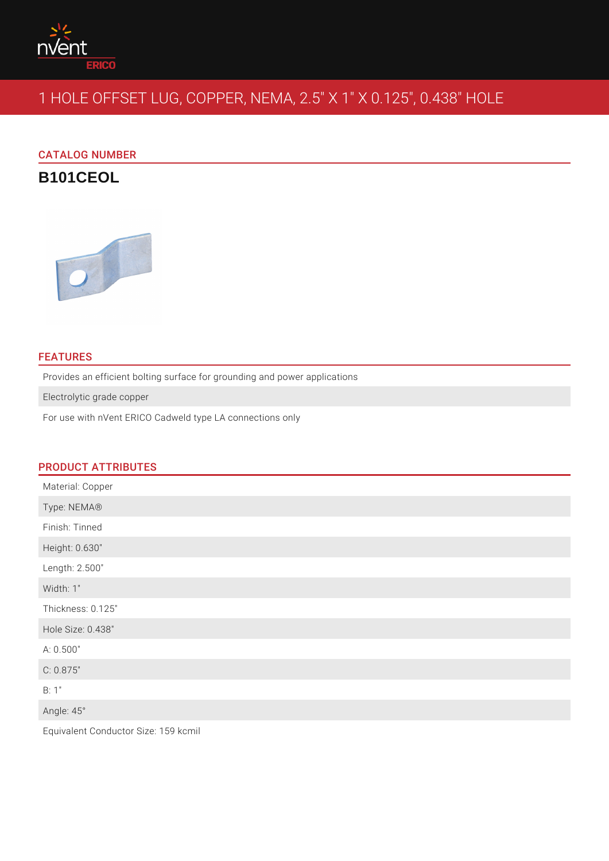

# 1 HOLE OFFSET LUG, COPPER, NEMA, 2.5" X 1" X 0.125", 0.438" HOLE

CATALOG NUMBER

**B101CEOL**



## **FEATURES**

Provides an efficient bolting surface for grounding and power applications

Electrolytic grade copper

For use with nVent ERICO Cadweld type LA connections only

## PRODUCT ATTRIBUTES

| Material: Copper  |
|-------------------|
| Type: NEMA®       |
| Finish: Tinned    |
| Height: 0.630"    |
| Length: 2.500"    |
| Width: 1"         |
| Thickness: 0.125" |
| Hole Size: 0.438" |
| A: 0.500"         |
| C: 0.875"         |
| B: 1"             |
| Angle: 45°        |
|                   |

Equivalent Conductor Size: 159 kcmil